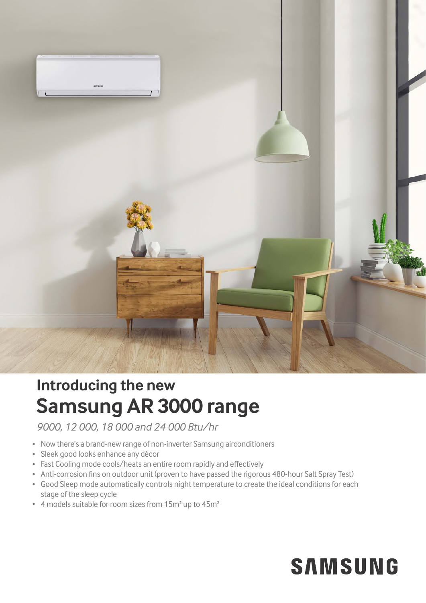

## **Samsung AR 3000 range Introducing the new**

*9000, 12 000, 18 000 and 24 000 Btu/hr*

- Now there's a brand-new range of non-inverter Samsung airconditioners
- Sleek good looks enhance any décor
- Fast Cooling mode cools/heats an entire room rapidly and effectively
- Anti-corrosion fins on outdoor unit (proven to have passed the rigorous 480-hour Salt Spray Test)
- Good Sleep mode automatically controls night temperature to create the ideal conditions for each stage of the sleep cycle
- 4 models suitable for room sizes from 15m<sup>2</sup> up to 45m<sup>2</sup>

## **SAMSUNG**